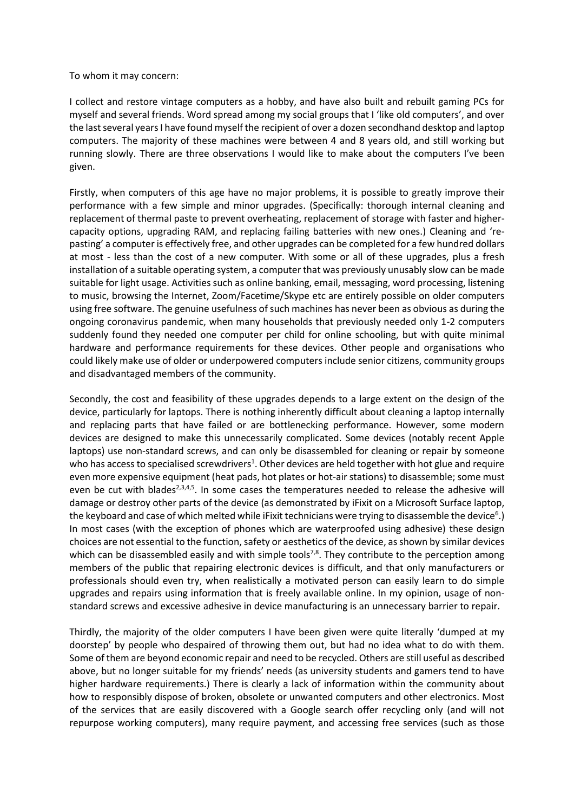To whom it may concern:

I collect and restore vintage computers as a hobby, and have also built and rebuilt gaming PCs for myself and several friends. Word spread among my social groups that I 'like old computers', and over the last several years I have found myself the recipient of over a dozen secondhand desktop and laptop computers. The majority of these machines were between 4 and 8 years old, and still working but running slowly. There are three observations I would like to make about the computers I've been given.

Firstly, when computers of this age have no major problems, it is possible to greatly improve their performance with a few simple and minor upgrades. (Specifically: thorough internal cleaning and replacement of thermal paste to prevent overheating, replacement of storage with faster and highercapacity options, upgrading RAM, and replacing failing batteries with new ones.) Cleaning and 'repasting' a computer is effectively free, and other upgrades can be completed for a few hundred dollars at most - less than the cost of a new computer. With some or all of these upgrades, plus a fresh installation of a suitable operating system, a computer that was previously unusably slow can be made suitable for light usage. Activities such as online banking, email, messaging, word processing, listening to music, browsing the Internet, Zoom/Facetime/Skype etc are entirely possible on older computers using free software. The genuine usefulness of such machines has never been as obvious as during the ongoing coronavirus pandemic, when many households that previously needed only 1-2 computers suddenly found they needed one computer per child for online schooling, but with quite minimal hardware and performance requirements for these devices. Other people and organisations who could likely make use of older or underpowered computers include senior citizens, community groups and disadvantaged members of the community.

Secondly, the cost and feasibility of these upgrades depends to a large extent on the design of the device, particularly for laptops. There is nothing inherently difficult about cleaning a laptop internally and replacing parts that have failed or are bottlenecking performance. However, some modern devices are designed to make this unnecessarily complicated. Some devices (notably recent Apple laptops) use non-standard screws, and can only be disassembled for cleaning or repair by someone who has access to specialised screwdrivers<sup>1</sup>. Other devices are held together with hot glue and require even more expensive equipment (heat pads, hot plates or hot-air stations) to disassemble; some must even be cut with blades<sup>2,3,4,5</sup>. In some cases the temperatures needed to release the adhesive will damage or destroy other parts of the device (as demonstrated by iFixit on a Microsoft Surface laptop, the keyboard and case of which melted while iFixit technicians were trying to disassemble the device<sup>6</sup>.) In most cases (with the exception of phones which are waterproofed using adhesive) these design choices are not essential to the function, safety or aesthetics of the device, as shown by similar devices which can be disassembled easily and with simple tools<sup>7,8</sup>. They contribute to the perception among members of the public that repairing electronic devices is difficult, and that only manufacturers or professionals should even try, when realistically a motivated person can easily learn to do simple upgrades and repairs using information that is freely available online. In my opinion, usage of nonstandard screws and excessive adhesive in device manufacturing is an unnecessary barrier to repair.

Thirdly, the majority of the older computers I have been given were quite literally 'dumped at my doorstep' by people who despaired of throwing them out, but had no idea what to do with them. Some of them are beyond economic repair and need to be recycled. Others are still useful as described above, but no longer suitable for my friends' needs (as university students and gamers tend to have higher hardware requirements.) There is clearly a lack of information within the community about how to responsibly dispose of broken, obsolete or unwanted computers and other electronics. Most of the services that are easily discovered with a Google search offer recycling only (and will not repurpose working computers), many require payment, and accessing free services (such as those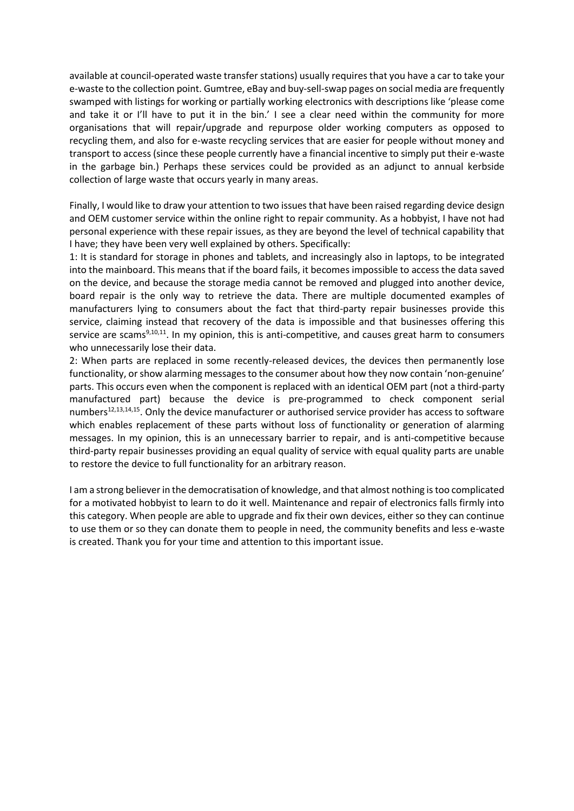available at council-operated waste transfer stations) usually requires that you have a car to take your e-waste to the collection point. Gumtree, eBay and buy-sell-swap pages on social media are frequently swamped with listings for working or partially working electronics with descriptions like 'please come and take it or I'll have to put it in the bin.' I see a clear need within the community for more organisations that will repair/upgrade and repurpose older working computers as opposed to recycling them, and also for e-waste recycling services that are easier for people without money and transport to access (since these people currently have a financial incentive to simply put their e-waste in the garbage bin.) Perhaps these services could be provided as an adjunct to annual kerbside collection of large waste that occurs yearly in many areas.

Finally, I would like to draw your attention to two issues that have been raised regarding device design and OEM customer service within the online right to repair community. As a hobbyist, I have not had personal experience with these repair issues, as they are beyond the level of technical capability that I have; they have been very well explained by others. Specifically:

1: It is standard for storage in phones and tablets, and increasingly also in laptops, to be integrated into the mainboard. This means that if the board fails, it becomes impossible to access the data saved on the device, and because the storage media cannot be removed and plugged into another device, board repair is the only way to retrieve the data. There are multiple documented examples of manufacturers lying to consumers about the fact that third-party repair businesses provide this service, claiming instead that recovery of the data is impossible and that businesses offering this service are scams $9,10,11$ . In my opinion, this is anti-competitive, and causes great harm to consumers who unnecessarily lose their data.

2: When parts are replaced in some recently-released devices, the devices then permanently lose functionality, or show alarming messages to the consumer about how they now contain 'non-genuine' parts. This occurs even when the component is replaced with an identical OEM part (not a third-party manufactured part) because the device is pre-programmed to check component serial numbers<sup>12,13,14,15</sup>. Only the device manufacturer or authorised service provider has access to software which enables replacement of these parts without loss of functionality or generation of alarming messages. In my opinion, this is an unnecessary barrier to repair, and is anti-competitive because third-party repair businesses providing an equal quality of service with equal quality parts are unable to restore the device to full functionality for an arbitrary reason.

I am a strong believer in the democratisation of knowledge, and that almost nothing is too complicated for a motivated hobbyist to learn to do it well. Maintenance and repair of electronics falls firmly into this category. When people are able to upgrade and fix their own devices, either so they can continue to use them or so they can donate them to people in need, the community benefits and less e-waste is created. Thank you for your time and attention to this important issue.